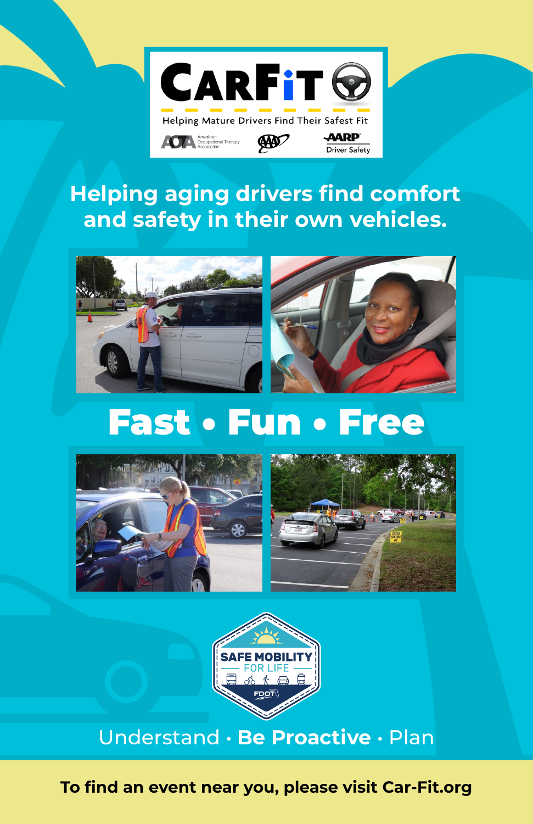

**Driver Safety** 

## **Helping aging drivers find comfort and safety in their own vehicles.**



# Fast • Fun • Free







### Understand • **Be Proactive** • Plan

**To find an event near you, please visit [Car-Fit.org](https://www.car-fit.org/)**